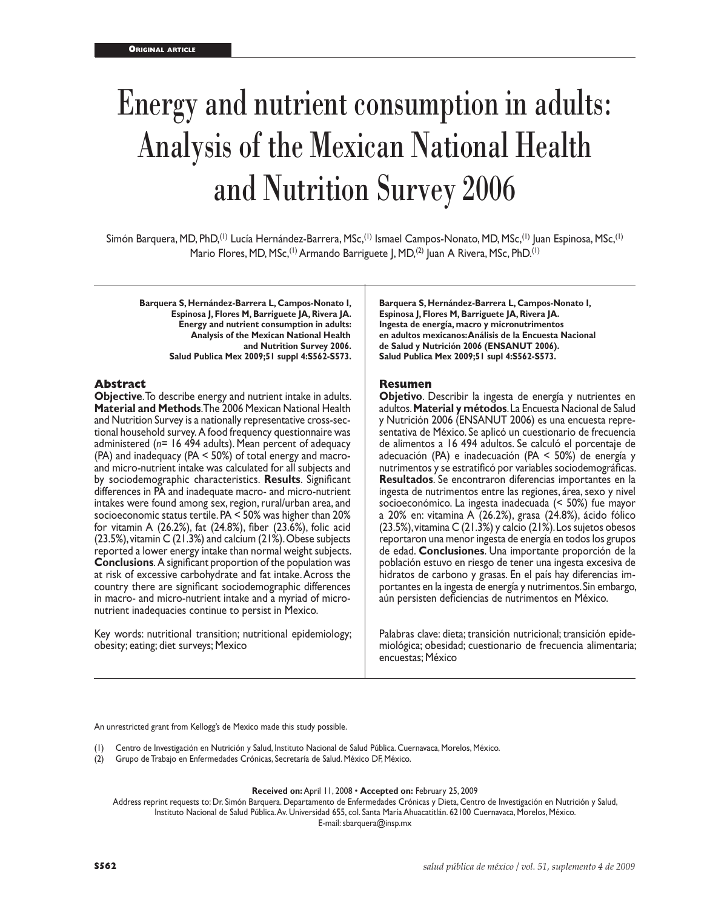# Energy and nutrient consumption in adults: Analysis of the Mexican National Health and Nutrition Survey 2006

Simón Barquera, MD, PhD,<sup>(1)</sup> Lucía Hernández-Barrera, MSc,<sup>(1)</sup> Ismael Campos-Nonato, MD, MSc,<sup>(1)</sup> Juan Espinosa, MSc,<sup>(1)</sup> Mario Flores, MD, MSc,<sup>(1)</sup> Armando Barriguete J, MD,<sup>(2)</sup> Juan A Rivera, MSc, PhD.<sup>(1)</sup>

**Barquera S, Hernández-Barrera L, Campos-Nonato I, Espinosa J, Flores M, Barriguete JA, Rivera JA. Energy and nutrient consumption in adults: Analysis of the Mexican National Health and Nutrition Survey 2006. Salud Publica Mex 2009;51 suppl 4:S562-S573.**

#### **Abstract**

**Objective**. To describe energy and nutrient intake in adults. **Material and Methods**. The 2006 Mexican National Health and Nutrition Survey is a nationally representative cross-sectional household survey. A food frequency questionnaire was administered (*n=* 16 494 adults). Mean percent of adequacy (PA) and inadequacy (PA < 50%) of total energy and macroand micro-nutrient intake was calculated for all subjects and by sociodemographic characteristics. **Results**. Significant differences in PA and inadequate macro- and micro-nutrient intakes were found among sex, region, rural/urban area, and socioeconomic status tertile. PA < 50% was higher than 20% for vitamin A (26.2%), fat (24.8%), fiber (23.6%), folic acid (23.5%), vitamin C (21.3%) and calcium (21%). Obese subjects reported a lower energy intake than normal weight subjects. **Conclusions**. A significant proportion of the population was at risk of excessive carbohydrate and fat intake. Across the country there are significant sociodemographic differences in macro- and micro-nutrient intake and a myriad of micronutrient inadequacies continue to persist in Mexico.

Key words: nutritional transition; nutritional epidemiology; obesity; eating; diet surveys; Mexico

**Barquera S, Hernández-Barrera L, Campos-Nonato I, Espinosa J, Flores M, Barriguete JA, Rivera JA. Ingesta de energía, macro y micronutrimentos en adultos mexicanos: Análisis de la Encuesta Nacional de Salud y Nutrición 2006 (ENSANUT 2006). Salud Publica Mex 2009;51 supl 4:S562-S573.**

#### **Resumen**

**Objetivo**. Describir la ingesta de energía y nutrientes en adultos. **Material y métodos**. La Encuesta Nacional de Salud y Nutrición 2006 (ENSANUT 2006) es una encuesta representativa de México. Se aplicó un cuestionario de frecuencia de alimentos a 16 494 adultos. Se calculó el porcentaje de adecuación (PA) e inadecuación (PA < 50%) de energía y nutrimentos y se estratificó por variables sociodemográficas. **Resultados**. Se encontraron diferencias importantes en la ingesta de nutrimentos entre las regiones, área, sexo y nivel socioeconómico. La ingesta inadecuada (< 50%) fue mayor a 20% en: vitamina A (26.2%), grasa (24.8%), ácido fólico (23.5%), vitamina C (21.3%) y calcio (21%). Los sujetos obesos reportaron una menor ingesta de energía en todos los grupos de edad. **Conclusiones**. Una importante proporción de la población estuvo en riesgo de tener una ingesta excesiva de hidratos de carbono y grasas. En el país hay diferencias im portantes en la ingesta de energía y nutrimentos. Sin embargo, aún persisten deficiencias de nutrimentos en México.

Palabras clave: dieta; transición nutricional; transición epide miológica; obesidad; cuestionario de frecuencia alimentaria; encuestas; México

An unrestricted grant from Kellogg's de Mexico made this study possible.

- (1) Centro de Investigación en Nutrición y Salud, Instituto Nacional de Salud Pública. Cuernavaca, Morelos, México.
- (2) Grupo de Trabajo en Enfermedades Crónicas, Secretaría de Salud. México DF, México.

**Received on:** April 11, 2008 • **Accepted on:** February 25, 2009

Address reprint requests to: Dr. Simón Barquera. Departamento de Enfermedades Crónicas y Dieta, Centro de Investigación en Nutrición y Salud, Instituto Nacional de Salud Pública. Av. Universidad 655, col. Santa María Ahuacatitlán. 62100 Cuernavaca, Morelos, México. E-mail: sbarquera@insp.mx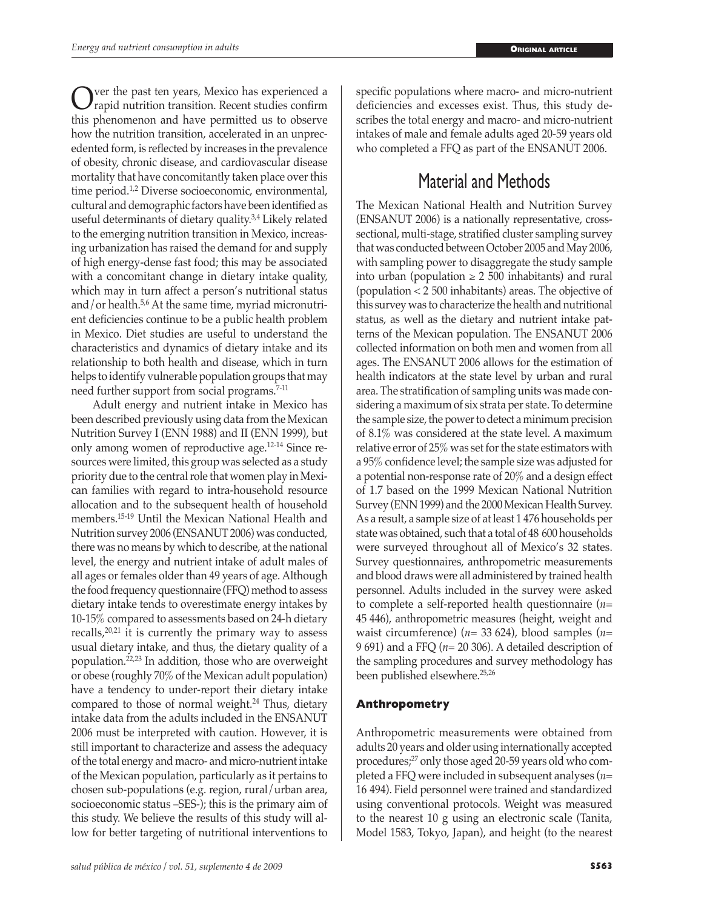Over the past ten years, Mexico has experienced a<br>
rapid nutrition transition. Recent studies confirm<br>
this phonomonon and have normitted us to observe this phenomenon and have permitted us to observe how the nutrition transition, accelerated in an unprecedented form, is reflected by increases in the prevalence of obesity, chronic disease, and cardiovascular disease mortality that have concomitantly taken place over this time period.<sup>1,2</sup> Diverse socioeconomic, environmental, cultural and demographic factors have been identified as useful determinants of dietary quality.3,4 Likely related to the emerging nutrition transition in Mexico, increasing urbanization has raised the demand for and supply of high energy-dense fast food; this may be associated with a concomitant change in dietary intake quality, which may in turn affect a person's nutritional status and/or health.<sup>5,6</sup> At the same time, myriad micronutrient deficiencies continue to be a public health problem in Mexico. Diet studies are useful to understand the characteristics and dynamics of dietary intake and its relationship to both health and disease, which in turn helps to identify vulnerable population groups that may need further support from social programs.<sup>7-11</sup>

Adult energy and nutrient intake in Mexico has been described previously using data from the Mexican Nutrition Survey I (ENN 1988) and II (ENN 1999), but only among women of reproductive age.12-14 Since resources were limited, this group was selected as a study priority due to the central role that women play in Mexican families with regard to intra-household resource allocation and to the subsequent health of household members.15-19 Until the Mexican National Health and Nutrition survey 2006 (ENSANUT 2006) was conducted, there was no means by which to describe, at the national level, the energy and nutrient intake of adult males of all ages or females older than 49 years of age. Although the food frequency questionnaire (FFQ) method to assess dietary intake tends to overestimate energy intakes by 10-15% compared to assessments based on 24-h dietary recalls, $20,21$  it is currently the primary way to assess usual dietary intake, and thus, the dietary quality of a population.<sup>22,23</sup> In addition, those who are overweight or obese (roughly 70% of the Mexican adult population) have a tendency to under-report their dietary intake compared to those of normal weight.<sup>24</sup> Thus, dietary intake data from the adults included in the ENSANUT 2006 must be interpreted with caution. However, it is still important to characterize and assess the adequacy of the total energy and macro- and micro-nutrient intake of the Mexican population, particularly as it pertains to chosen sub-populations (e.g. region, rural/urban area, socioeconomic status –SES-); this is the primary aim of this study. We believe the results of this study will allow for better targeting of nutritional interventions to

specific populations where macro- and micro-nutrient deficiencies and excesses exist. Thus, this study describes the total energy and macro- and micro-nutrient intakes of male and female adults aged 20-59 years old who completed a FFQ as part of the ENSANUT 2006.

# Material and Methods

The Mexican National Health and Nutrition Survey (ENSANUT 2006) is a nationally representative, crosssectional, multi-stage, stratified cluster sampling survey that was conducted between October 2005 and May 2006, with sampling power to disaggregate the study sample into urban (population  $\geq 2$  500 inhabitants) and rural (population < 2 500 inhabitants) areas. The objective of this survey was to characterize the health and nutritional status, as well as the dietary and nutrient intake patterns of the Mexican population. The ENSANUT 2006 collected information on both men and women from all ages. The ENSANUT 2006 allows for the estimation of health indicators at the state level by urban and rural area. The stratification of sampling units was made considering a maximum of six strata per state. To determine the sample size, the power to detect a minimum precision of 8.1% was considered at the state level. A maximum relative error of 25% was set for the state estimators with a 95% confidence level; the sample size was adjusted for a potential non-response rate of 20% and a design effect of 1.7 based on the 1999 Mexican National Nutrition Survey (ENN 1999) and the 2000 Mexican Health Survey. As a result, a sample size of at least 1 476 households per state was obtained, such that a total of 48 600 households were surveyed throughout all of Mexico's 32 states. Survey questionnaires, anthropometric measurements and blood draws were all administered by trained health personnel. Adults included in the survey were asked to complete a self-reported health questionnaire (*n=* 45 446), anthropometric measures (height, weight and waist circumference) (*n*= 33 624), blood samples (*n*= 9 691) and a FFQ (*n*= 20 306). A detailed description of the sampling procedures and survey methodology has been published elsewhere.<sup>25,26</sup>

# **Anthropometry**

Anthropometric measurements were obtained from adults 20 years and older using internationally accepted procedures;<sup>27</sup> only those aged 20-59 years old who completed a FFQ were included in subsequent analyses (*n*= 16 494). Field personnel were trained and standardized using conventional protocols. Weight was measured to the nearest 10 g using an electronic scale (Tanita, Model 1583, Tokyo, Japan), and height (to the nearest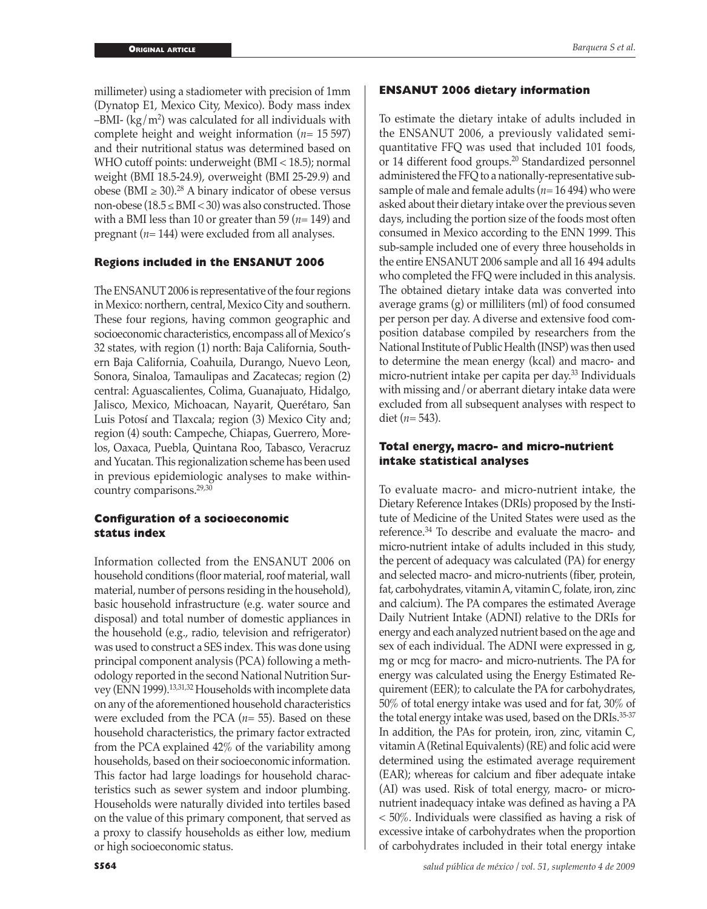millimeter) using a stadiometer with precision of 1mm (Dynatop E1, Mexico City, Mexico). Body mass index –BMI- (kg/m<sup>2</sup> ) was calculated for all individuals with complete height and weight information (*n*= 15 597) and their nutritional status was determined based on WHO cutoff points: underweight (BMI < 18.5); normal weight (BMI 18.5-24.9), overweight (BMI 25-29.9) and obese (BMI ≥ 30).<sup>28</sup> A binary indicator of obese versus non-obese  $(18.5 \leq BMI < 30)$  was also constructed. Those with a BMI less than 10 or greater than 59 (*n*= 149) and pregnant (*n*= 144) were excluded from all analyses.

#### **Regions included in the ENSANUT 2006**

The ENSANUT 2006 is representative of the four regions in Mexico: northern, central, Mexico City and southern. These four regions, having common geographic and socioeconomic characteristics, encompass all of Mexico's 32 states, with region (1) north: Baja California, Southern Baja California, Coahuila, Durango, Nuevo Leon, Sonora, Sinaloa, Tamaulipas and Zacatecas; region (2) central: Aguascalientes, Colima, Guanajuato, Hidalgo, Jalisco, Mexico, Michoacan, Nayarit, Querétaro, San Luis Potosí and Tlaxcala; region (3) Mexico City and; region (4) south: Campeche, Chiapas, Guerrero, Morelos, Oaxaca, Puebla, Quintana Roo, Tabasco, Veracruz and Yucatan. This regionalization scheme has been used in previous epidemiologic analyses to make withincountry comparisons.29,30

## **Configuration of a socioeconomic status index**

Information collected from the ENSANUT 2006 on household conditions (floor material, roof material, wall material, number of persons residing in the household), basic household infrastructure (e.g. water source and disposal) and total number of domestic appliances in the household (e.g., radio, television and refrigerator) was used to construct a SES index. This was done using principal component analysis (PCA) following a methodology reported in the second National Nutrition Survey (ENN 1999).<sup>13,31,32</sup> Households with incomplete data on any of the aforementioned household characteristics were excluded from the PCA (*n*= 55). Based on these household characteristics, the primary factor extracted from the PCA explained 42% of the variability among households, based on their socioeconomic information. This factor had large loadings for household characteristics such as sewer system and indoor plumbing. Households were naturally divided into tertiles based on the value of this primary component, that served as a proxy to classify households as either low, medium or high socioeconomic status.

To estimate the dietary intake of adults included in the ENSANUT 2006, a previously validated semiquantitative FFQ was used that included 101 foods, or 14 different food groups.<sup>20</sup> Standardized personnel administered the FFQ to a nationally-representative subsample of male and female adults (*n*= 16 494) who were asked about their dietary intake over the previous seven days, including the portion size of the foods most often consumed in Mexico according to the ENN 1999. This sub-sample included one of every three households in the entire ENSANUT 2006 sample and all 16 494 adults who completed the FFQ were included in this analysis. The obtained dietary intake data was converted into average grams (g) or milliliters (ml) of food consumed per person per day. A diverse and extensive food composition database compiled by researchers from the National Institute of Public Health (INSP) was then used to determine the mean energy (kcal) and macro- and micro-nutrient intake per capita per day.33 Individuals with missing and/or aberrant dietary intake data were excluded from all subsequent analyses with respect to diet (*n*= 543).

## **Total energy, macro- and micro-nutrient intake statistical analyses**

To evaluate macro- and micro-nutrient intake, the Dietary Reference Intakes (DRIs) proposed by the Institute of Medicine of the United States were used as the reference.<sup>34</sup> To describe and evaluate the macro- and micro-nutrient intake of adults included in this study, the percent of adequacy was calculated (PA) for energy and selected macro- and micro-nutrients (fiber, protein, fat, carbohydrates, vitamin A, vitamin C, folate, iron, zinc and calcium). The PA compares the estimated Average Daily Nutrient Intake (ADNI) relative to the DRIs for energy and each analyzed nutrient based on the age and sex of each individual. The ADNI were expressed in g, mg or mcg for macro- and micro-nutrients. The PA for energy was calculated using the Energy Estimated Requirement (EER); to calculate the PA for carbohydrates, 50% of total energy intake was used and for fat, 30% of the total energy intake was used, based on the DRIs.<sup>35-37</sup> In addition, the PAs for protein, iron, zinc, vitamin C, vitamin A (Retinal Equivalents) (RE) and folic acid were determined using the estimated average requirement (EAR); whereas for calcium and fiber adequate intake (AI) was used. Risk of total energy, macro- or micronutrient inadequacy intake was defined as having a PA < 50%. Individuals were classified as having a risk of excessive intake of carbohydrates when the proportion of carbohydrates included in their total energy intake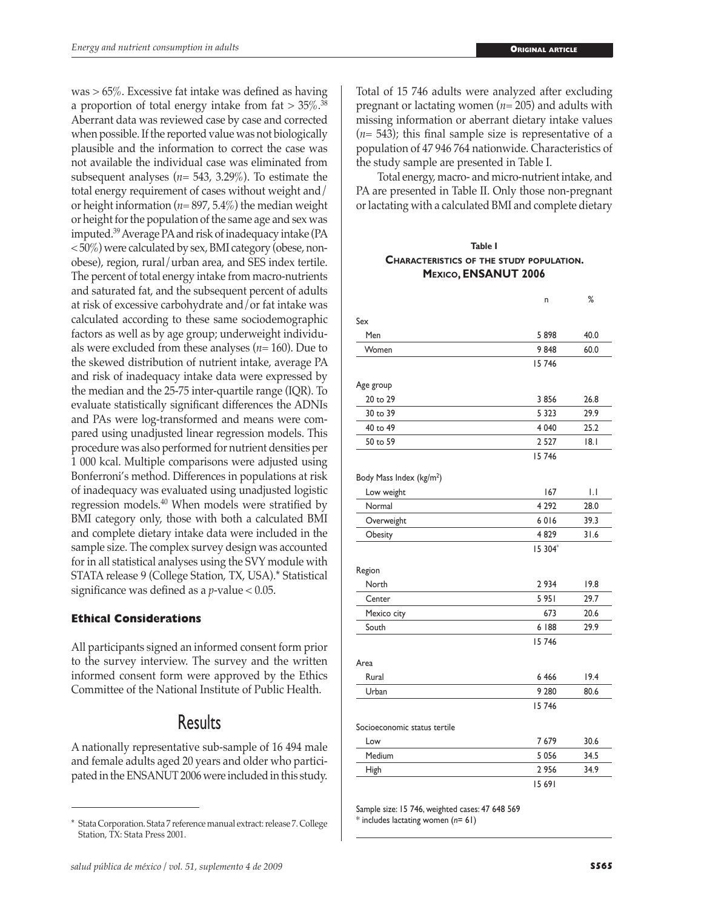was > 65%. Excessive fat intake was defined as having a proportion of total energy intake from fat  $> 35\%$ .<sup>38</sup> Aberrant data was reviewed case by case and corrected when possible. If the reported value was not biologically plausible and the information to correct the case was not available the individual case was eliminated from subsequent analyses ( $n=543, 3.29\%$ ). To estimate the total energy requirement of cases without weight and/ or height information (*n*= 897, 5.4%) the median weight or height for the population of the same age and sex was imputed.<sup>39</sup> Average PA and risk of inadequacy intake (PA < 50%) were calculated by sex, BMI category (obese, nonobese), region, rural/urban area, and SES index tertile. The percent of total energy intake from macro-nutrients and saturated fat, and the subsequent percent of adults at risk of excessive carbohydrate and/or fat intake was calculated according to these same sociodemographic factors as well as by age group; underweight individuals were excluded from these analyses (*n*= 160). Due to the skewed distribution of nutrient intake, average PA and risk of inadequacy intake data were expressed by the median and the 25-75 inter-quartile range (IQR). To evaluate statistically significant differences the ADNIs and PAs were log-transformed and means were compared using unadjusted linear regression models. This procedure was also performed for nutrient densities per 1 000 kcal. Multiple comparisons were adjusted using Bonferroni's method. Differences in populations at risk of inadequacy was evaluated using unadjusted logistic regression models.<sup>40</sup> When models were stratified by BMI category only, those with both a calculated BMI and complete dietary intake data were included in the sample size. The complex survey design was accounted for in all statistical analyses using the SVY module with STATA release 9 (College Station, TX, USA).\* Statistical significance was defined as a *p*-value < 0.05.

## **Ethical Considerations**

All participants signed an informed consent form prior to the survey interview. The survey and the written informed consent form were approved by the Ethics Committee of the National Institute of Public Health.

# Results

A nationally representative sub-sample of 16 494 male and female adults aged 20 years and older who participated in the ENSANUT 2006 were included in this study. Total of 15 746 adults were analyzed after excluding pregnant or lactating women (*n*= 205) and adults with missing information or aberrant dietary intake values (*n*= 543); this final sample size is representative of a population of 47 946 764 nationwide. Characteristics of the study sample are presented in Table I.

Total energy, macro- and micro-nutrient intake, and PA are presented in Table II. Only those non-pregnant or lactating with a calculated BMI and complete dietary

#### **Table I Characteristics of the study population. Mexico, ENSANUT 2006**

|                                      | n       | %    |
|--------------------------------------|---------|------|
| Sex                                  |         |      |
| Men                                  | 5898    | 40.0 |
| Women                                | 9848    | 60.0 |
|                                      | 15746   |      |
| Age group                            |         |      |
| 20 to 29                             | 3856    | 26.8 |
| 30 to 39                             | 5 3 2 3 | 29.9 |
| 40 to 49                             | 4 0 4 0 | 25.2 |
| 50 to 59                             | 2 5 2 7 | 18.1 |
|                                      | 15 746  |      |
| Body Mass Index (kg/m <sup>2</sup> ) |         |      |
| Low weight                           | 167     | IJ   |
| Normal                               | 4 2 9 2 | 28.0 |
| Overweight                           | 6016    | 39.3 |
| Obesity                              | 4829    | 31.6 |
|                                      | 15 304* |      |
| Region                               |         |      |
| North                                | 2934    | 19.8 |
| Center                               | 5 9 5 1 | 29.7 |
| Mexico city                          | 673     | 20.6 |
| South                                | 6 188   | 29.9 |
|                                      | 15746   |      |
| Area                                 |         |      |
| Rural                                | 6466    | 19.4 |
| Urban                                | 9 2 8 0 | 80.6 |
|                                      | 15746   |      |
| Socioeconomic status tertile         |         |      |
| Low                                  | 7679    | 30.6 |
| Medium                               | 5 0 5 6 | 34.5 |
| High                                 | 2956    | 34.9 |
|                                      | 15 691  |      |

Sample size: 15 746, weighted cases: 47 648 569

Stata Corporation. Stata 7 reference manual extract: release 7. College <sup>\*</sup> includes lactating women (*n*= 61) Station, TX: Stata Press 2001.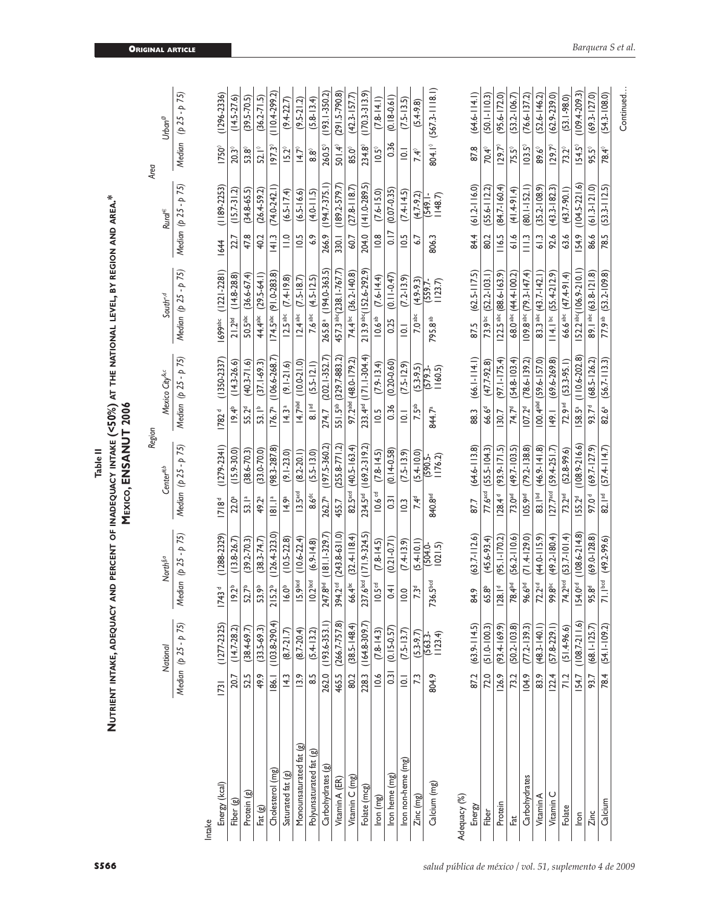|                         |                  | NUTRIENT INTAKE, ADEQUA |                     |                                    |                        | Table II                         |                     |                                   | CY AND PERCENT OF INADEQUACY INTAKE (<50%) AT THE NATIONAL LEVEL, BY REGION AND AREA.* |                           |                        |                 |                      |
|-------------------------|------------------|-------------------------|---------------------|------------------------------------|------------------------|----------------------------------|---------------------|-----------------------------------|----------------------------------------------------------------------------------------|---------------------------|------------------------|-----------------|----------------------|
|                         |                  |                         |                     |                                    |                        | MEXICO, ENSANUT 2006             |                     |                                   |                                                                                        |                           |                        |                 |                      |
|                         |                  |                         |                     |                                    |                        | Region                           |                     |                                   |                                                                                        |                           |                        | Area            |                      |
|                         |                  | National                |                     | North <sup>§,a</sup>               |                        | Center <sup>#b</sup>             |                     | Mexico City&,c                    | South <sup>*,d</sup>                                                                   |                           | $Runal^{\in}$          |                 | Urban $^{\emptyset}$ |
|                         |                  | Median $(p 25 - p 75)$  |                     | Median $(p 25 - p 75)$             |                        | Median $(p 25 - p 75)$           |                     | Median $(p 25 - p 75)$            | Median $(p 25 - p 75)$                                                                 |                           | Median $(p 25 - p 75)$ | Median          | $(p 25 - p 75)$      |
| Intake                  |                  |                         |                     |                                    |                        |                                  |                     |                                   |                                                                                        |                           |                        |                 |                      |
| Energy (kcal)           | 73               | $(1277 - 2325)$         | 1743 <sup>d</sup>   | $(1288 - 2329)$                    | 1718 <sup>d</sup>      | $(1279 - 2341)$                  | $1782^{d}$          | $(1350 - 2337)$                   | $(1221 - 2281)$<br>$1699$ abc                                                          | 1644                      | $(1189 - 2253)$        | 1750°           | $(1296 - 2336)$      |
| Fiber (g)               | 20.7             | $(14.7 - 28.2)$         | $19.2^b$            | $(13.8 - 26.7)$                    | $22.0^{\circ}$         | $(15.9 - 30.0)$                  | $19.4^{\circ}$      | $(14.3 - 26.6)$                   | $(14.8 - 28.8)$<br>21.2 <sup>bd</sup>                                                  | 22.7                      | $(15.7 - 31.2)$        | $20.3^\circ$    | $(14.5 - 27.6)$      |
| Protein (g)             | 52.5             | $(38.4 - 69.7)$         | $52.7^{\circ}$      | $(39.2 - 70.3)$                    | $53.$ <sup>a</sup>     | $(38.6 - 70.3)$                  | 55.2 <sup>d</sup>   | $(40.3 - 71.6)$                   | $(36.6 - 67.4)$<br>50.5 <sup>abc</sup>                                                 | 47.8                      | $(34.8 - 65.5)$        | $53.8^\circ$    | $(39.5 - 70.5)$      |
| Fat (g)                 | 49.9             | $(33.5 - 69.3)$         | 53.9 <sup>b</sup>   | $(38.3 - 74.7)$                    | 49.2ª                  | $(33.0 - 70.0)$                  | 53.1 <sup>b</sup>   | $(37.1 - 69.3)$                   | $(29.5-64.1)$<br>44.4 <sup>abc</sup>                                                   | 402                       | $(26.4 - 59.2)$        | $52.1^\circ$    | $(36.2 - 71.5)$      |
| Cholesterol (mg)        |                  | 186.1 (103.8-290.4)     | $215.2^{b}$         | $(126.4 - 323.0)$                  | 181.1 <sup>a</sup>     | $(98.3 - 287.8)$                 | 176.7ª              | $(106.6 - 268.7)$                 | $174.5abc$ (91.0-283.8)                                                                | 141.3                     | $(74.0 - 242.1)$       | $197.3^{\circ}$ | $(110.4 - 299.2)$    |
| Saturated fat (g)       | $\frac{43}{5}$   | $(8.7 - 21.7)$          | 16.0 <sup>b</sup>   | $(10.5 - 22.8)$                    | $14.9^{\circ}$         | $(9.1 - 23.0)$                   | 14.3a               | $(9.1 - 21.6)$                    | $(7.4 - 19.8)$<br>12.5 <sup>abc</sup>                                                  | $\frac{10}{11}$           | $(6.5 - 17.4)$         | $15.2^\circ$    | $(9.4 - 22.7)$       |
| Monounsaturated fat (g) | 13.9             | $(8.7 - 20.4)$          | 15.9 <sup>bcd</sup> | $(10.6 - 22.4)$                    | 13.5 <sup>acd</sup>    | $(8.2 - 20.1)$                   | 14.7 <sup>abd</sup> | $(10.0 - 21.0)$                   | $(7.5 - 18.7)$<br>$12.4$ <sup>abc</sup>                                                | 10.5                      | $(6.5 - 16.6)$         | $14.7^\circ$    | $(9.5 - 21.2)$       |
| Polyunsaturated fat (g) | 8.5              | $(5.4 - 13.2)$          | 10.2 <sup>bcd</sup> | $(6.9 - 14.8)$                     | 8.6 <sup>dc</sup>      | $(5.5 - 13.0)$                   | $\frac{3}{10}$      | $(5.5 - 12.1)$                    | $(4.5 - 12.5)$<br>$7.6$ abc                                                            | 6.9                       | $(4.0 - 11.5)$         | ိ8<br>8         | $(5.8 - 13.4)$       |
| Carbohydrates (g)       |                  | 262.0 (193.6-353.1)     | 247.8 <sup>bd</sup> | $(181.1 - 329.7)$                  | 262.7 <sup>a</sup>     | $(197.5 - 360.2)$                | 274.7               | $(202.1 - 352.7)$                 | 265.8 <sup>a</sup> (194.0-363.5)                                                       | 266.9                     | $(194.7 - 375.1)$      | 260.5°          | $(193.1 - 350.2)$    |
| Vitamin A (ER)          |                  | 465.5 (266.7-757.8)     |                     | 394.2 <sup>cd</sup> (243.8-631.0)  | 455.7                  | $(255.8 - 771.2)$                |                     | 551.5 <sup>ab</sup> (329.7-883.2) | 457.3 abc (238.1-767.7)                                                                | 330.1                     | $(189.2 - 579.7)$      | 501.4°          | $(291.5 - 790.8)$    |
| Vitamin C (mg)          | 80.2             | $(38.5 - 148.4)$        | 66.4bc              | $(32.4 - 118.4)$                   |                        | 82.5 <sup>acd</sup> (40.5-163.4) |                     | 97.2 <sup>abd</sup> (48.0-179.2)  | 74.4 bc (36.2-140.8)                                                                   | 60.7                      | $(27.8 - 118.7)$       | 85.0°           | $(42.3 - 157.7)$     |
| Folate (mcg)            | 228.3            | $(164.8 - 309.7)$       |                     | 237.6 <sup>bcd</sup> (171.9-324.5) | 234.5 <sup>ad</sup>    | $(169.2 - 319.2)$                |                     | 233.4 <sup>ad</sup> (171.1-304.4) | 213.9 abc (152.6-292.9)                                                                | 204.0                     | $(141.0 - 289.5)$      | 234.8°          | $(170.3 - 313.9)$    |
| Iron (mg)               | 10.6             | $(7.8 - 14.3)$          | 10.5 <sup>cd</sup>  | $(7.8 - 14.5)$                     | 10.6 <sup>cd</sup>     | $(7.8 - 14.5)$                   | $\frac{5}{2}$       | $(7.9 - 13.4)$                    | $(7.6 - 14.4)$<br>10.6 <sup>ab</sup>                                                   | $\frac{8}{2}$             | $(7.6 - 15.0)$         | $10.5^\circ$    | $(7.8 - 14.1)$       |
| Iron heme (mg)          | $\overline{0.3}$ | $(0.15 - 0.57)$         | 0.41                | $(0.21 - 0.71)$                    | $\overline{3}$         | $(0.14 - 0.58)$                  | 0.36                | $(0.20 - 0.60)$                   | $(0.11 - 0.47)$<br>0.25                                                                | 0.17                      | $(0.07 - 0.35)$        | 0.36            | $(0.18 - 0.61)$      |
| Iron non-heme (mg)      | $\overline{0}$   | $(7.5 - 13.7)$          | 0.0                 | $(7.4 - 13.9)$                     | 10.3                   | $(7.5 - 13.9)$                   | $\overline{0}$      | $(7.5 - 12.9)$                    | $(7.2 - 13.9)$<br>$\overline{a}$                                                       | 10.5                      | $(7.4 - 14.5)$         | $\overline{0}$  | $(7.5 - 13.5)$       |
| Zinc (mg)               | 7.3              | $(5.3 - 9.7)$           | 7.3 <sup>d</sup>    | $(5.4 - 10.1)$                     | 7.4 <sup>d</sup>       | $(5.4 - 10.0)$                   | 7.5 <sup>ab</sup>   | $(5.3 - 9.5)$                     | $(4.9 - 9.3)$<br>7.0 <sup>abc</sup>                                                    | 6.7                       | $(4.7 - 9.2)$          | 74°             | $(5.4 - 9.8)$        |
| Calcium (mg)            | 804.9            | $(563.3 -$<br>1123.4)   | 736.5bcd            | (021.5)<br>$(504.0 -$              | 840.8 <sup>ad</sup>    | $(590.5 -$<br>1176.2             | 844.7 <sup>a</sup>  | 1160.5<br>$(579.3 -$              | $(559.7 -$<br>(123.7)<br>795.8 <sup>ab</sup>                                           | 806.3                     | (148.7)<br>$(549.1 -$  | 804.1°          | $(567.3 - 1118.1)$   |
| Adequacy (%)            |                  |                         |                     |                                    |                        |                                  |                     |                                   |                                                                                        |                           |                        |                 |                      |
| Energy                  | 87.2             | $(63.9 - 114.5)$        | 84.9                | $(63.7 - 112.6)$                   | 87.7                   | $(64.6 - 113.8)$                 | 88.3                | $(66.1 - 114.1)$                  | $(62.5 - 117.5)$<br>87.5                                                               | 84.4                      | $(61.2 - 116.0)$       | 87.8            | $(64.6 - 114.1)$     |
| Fiber                   | 72.0             | $(51.0 - 100.3)$        | 65.8 <sup>b</sup>   | $(45.6 - 93.4)$                    | 77.6 <sup>acd</sup>    | $(55.5 - 104.3)$                 | 66.6 <sup>d</sup>   | $(47.7 - 92.8)$                   | $(52.2 - 103.1)$<br>73.9 bc                                                            | 80.2                      | $(55.6 - 112.2)$       | $70.4^\circ$    | $(50.1 - 110.3)$     |
| Protein                 | 126.9            | $(93.4 - 169.9)$        | 128.1 <sup>d</sup>  | $(95.1 - 170.2)$                   | 128.4 <sup>d</sup>     | $(93.9 - 171.5)$                 | 130.7               | $(97.1 - 175.4)$                  | $(22.5abc (88.6-163.9))$                                                               | 116.5                     | $(84.7 - 160.4)$       | $129.7^{\circ}$ | $(95.6 - 172.0)$     |
| Fat                     | 73.2             | $(50.2 - 103.8)$        | 78.4 <sup>bd</sup>  | $(56.2 - 110.6)$                   | 73.0 <sup>ad</sup>     | $(49.7 - 103.5)$                 | 74.7 <sup>d</sup>   | $(54.8 - 103.4)$                  | 68.0 <sup>abc</sup> (44.4-100.2)                                                       | $\frac{8}{9}$             | $(41.4-91.4)$          | $75.5^\circ$    | $(53.2 - 106.7)$     |
| Carbohydrates           | 104.9            | $(77.2 - 139.3)$        | 96.6 <sup>bd</sup>  | $(71.4 - 129.0)$                   | 105.9 <sup>ad</sup>    | $(79.2 - 138.8)$                 | 107.2 <sup>d</sup>  | $(78.6 - 139.2)$                  | $(09.8abc (79.3-147.4)$                                                                | $\mathbf{r} = \mathbf{r}$ | $(80.1 - 152.1)$       | $103.5^\circ$   | $(76.6 - 137.2)$     |
| Vitamin A               | 83.9             | $(48.3 - 140.1)$        | 72.2 <sup>cd</sup>  | $(44.0 - 115.9)$                   | 83. I <sup>bd</sup>    | $(46.9 - 141.8)$                 |                     | 00.4 <sup>abd</sup> (59.6-157.0)  | $83.3$ <sup>abc</sup> (43.7-142.1)                                                     | 61.3                      | $(35.2 - 108.9)$       | 89.6°           | $(52.6 - 146.2)$     |
| Vitamin C               | 122.4            | $(57.8 - 229.1)$        | 99.8 <sup>bc</sup>  | $(49.2 - 180.4)$                   | $127.7$ <sup>acd</sup> | $(59.4 - 251.7)$                 | <b>149.1</b>        | $(69.6 - 269.8)$                  | $114.1^{\circ}$ (55.4-212.9)                                                           | 92.6                      | $(43.3 - 182.3)$       | $129.7^{\circ}$ | $(62.9 - 239.0)$     |
| Folate                  | 71.2             | $(51.4 - 96.6)$         | 74.2bcd             | $(53.7 - 101.4)$                   | 73.2 <sup>ad</sup>     | $(52.8 - 99.6)$                  | 72.9 ad             | $(53.3 - 95.1)$                   | $(47.4-91.4)$<br>66.6 abc                                                              | 63.6                      | $(43.7 - 90.1)$        | $73.2^\circ$    | $(53.1 - 98.0)$      |
| lron                    | I54.7            | $(108.7 - 211.6)$       | 154.0 <sup>cd</sup> | $(108.6 - 214.8)$                  | 155.2 <sup>d</sup>     | $(108.9 - 216.6)$                | 58.5ª               | $(110.6 - 202.8)$                 | 52.2 <sup>abc</sup> (106.9-210.1)                                                      | 54.9                      | $(104.5 - 221.6)$      | $154.5^\circ$   | $(109.4 - 209.3)$    |
| Zinc                    | 93.7             | $(68.1 - 125.7)$        | 95.8 <sup>d</sup>   | $(69.0 - 128.8)$                   | 97.0 <sup>d</sup>      | $(69.7 - 127.9)$                 | 93.7 <sup>d</sup>   | $(68.5 - 126.2)$                  | 89.1 <sup>abc</sup> (63.8-121.8)                                                       | 86.6                      | $(61.3 - 121.0)$       | 95.5°           | $(69.3 - 127.0)$     |
| Calcium                 | 78.4             | $(54.1 - 109.2)$        | 71.1 <sup>bcd</sup> | $(49.2 - 99.6)$                    | 82.   ad               | $(57.4 - 114.7)$                 | 82.6ª               | $(56.7 - 113.3)$                  | $77.9ab$ (53.2-109.8)                                                                  | 78.5                      | $(53.3 - 112.5)$       | 78.4°           | $(54.3 - 108.0)$     |
|                         |                  |                         |                     |                                    |                        |                                  |                     |                                   |                                                                                        |                           |                        |                 | Continued            |

**S566** *salud pública de méxico / vol. 51, suplemento 4 de 2009*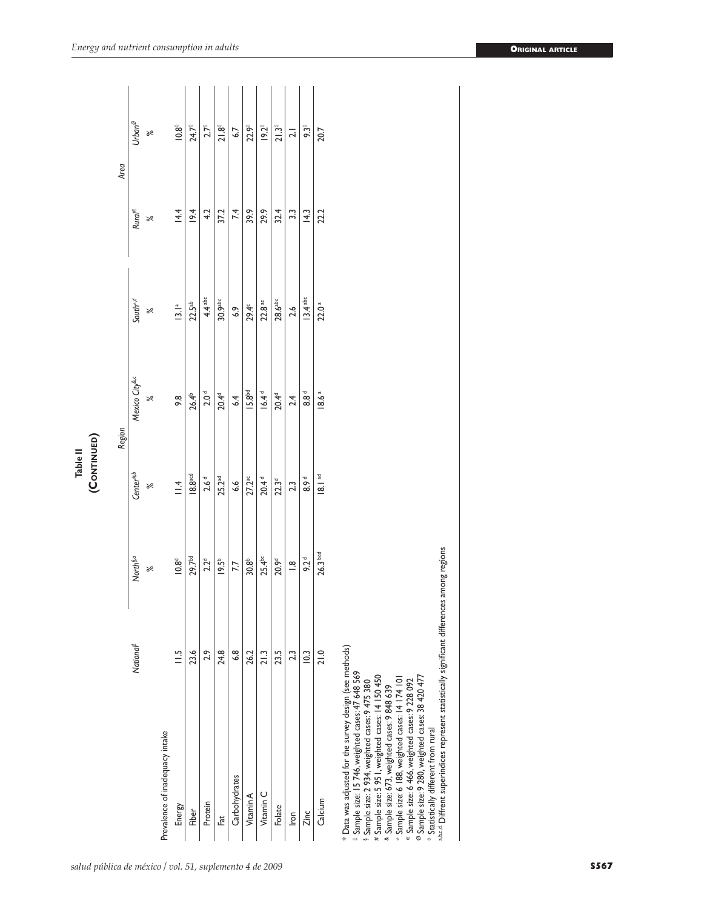|                                 |                       |                                  |                            | Region                    |                                       |                          | Area                               |
|---------------------------------|-----------------------|----------------------------------|----------------------------|---------------------------|---------------------------------------|--------------------------|------------------------------------|
|                                 | Nationa <sup> ‡</sup> | North <sup>§,a</sup><br>$\aleph$ | $Center^{H,b}$<br>$\aleph$ | Mexico City&c<br>$\aleph$ | $\mathsf{South}^{\neq,d}$<br>$\aleph$ | Rural <sup>€</sup><br>৯ৎ | Urban $^{\mathcal{O}}$<br>$\aleph$ |
| Prevalence of inadequacy intake |                       |                                  |                            |                           |                                       |                          |                                    |
| Energy                          | $\frac{15}{11}$       | $10.8^\text{d}$                  | $\frac{4}{1}$              | 9.8                       | $\frac{a}{2}$                         | 14.4                     | $10.8^\circ$                       |
| Fiber                           | 23.6                  | $29.7^{bd}$                      | $18.8$ <sup>acd</sup>      | $26.4^{b}$                | 22.5 <sup>ab</sup>                    | 19.4                     | $24.7^\circ$                       |
| Protein                         | 2.9                   | 2.2 <sup>d</sup>                 | 2.6 <sup>d</sup>           | 2.0 <sup>d</sup>          | 4.4 abc                               | 4.2                      | $2.7^\circ$                        |
| Fat                             | 24.8                  | $19.5^{b}$                       | 25.2 <sup>ad</sup>         | $20.4^d$                  | $30.9a$ bc                            | 37.2                     | $21.8^\circ$                       |
| Carbohydrates                   | $\frac{8}{6}$         | 7.7                              | 6.6                        | 6.4                       | 6.9                                   | 7.4                      | 6.7                                |
| Vitamin A                       | 26.2                  | 30.8 <sup>b</sup>                | $27.2^{\mathrm{ac}}$       | 15.8 <sup>bd</sup>        | $29.4^c$                              | 39.9                     | $22.9^\circ$                       |
| Vitamin C                       | 21.3                  | $25.4^{bc}$                      | 20.4 <sup>d</sup>          | 16.4 <sup>d</sup>         | $22.8$ ac                             | 29.9                     | $19.2^\circ$                       |
| Folate                          | 23.5                  | 20.9 <sup>d</sup>                | $22.3^d$                   | $20.4^d$                  | $28.6a$ bc                            | 32.4                     | $21.3^\circ$                       |
| Iron                            | 2.3                   | $\frac{\infty}{\cdot}$           | 2.3                        | 2.4                       | 2.6                                   | 3.3                      | $\overline{2}$ .                   |
| Zinc                            | $\frac{2}{3}$         | 9.2 <sup>d</sup>                 | 8.9 <sup>d</sup>           | 8.8 <sup>d</sup>          | $13.4$ abc                            | $\frac{14.3}{ }$         | $9.3^\circ$                        |
| Calcium                         | 21.0                  | $26.3$ bcd                       | $ 8.1$ <sup>ad</sup>       | 18.6a                     | 22.0 <sup>a</sup>                     | 22.2                     | 20.7                               |

‡ Sample size: 15 746, weighted cases: 47 648 569

§ Sample size: 2 934, weighted cases: 9 475 380

# Sample size: 5 951, weighted cases: 14 150 450

& Sample size: 673, weighted cases: 9 848 639

≠ Sample size: 6 188, weighted cases: 14 174 101

€ Sample size: 6 466, weighted cases: 9 228 092

 $\varnothing$  Sample size: 9 280, weighted cases: 38 420 477

◊ Statistically different from rural

<sup>‡</sup> Sample size: 15 746, weighted cases: 47 648 569<br><sup>\$</sup> Sample size: 2 934, weighted cases: 9 475 380<br><sup># S</sup>ample size: 573, weighted cases: 9 48 639<br><sup># S</sup>ample size: 673, weighted cases: 9 848 639<br><sup>#</sup> Sample size: 6 466, w a,b,c,d. Diffrent superindices represent statistically significant differences among regions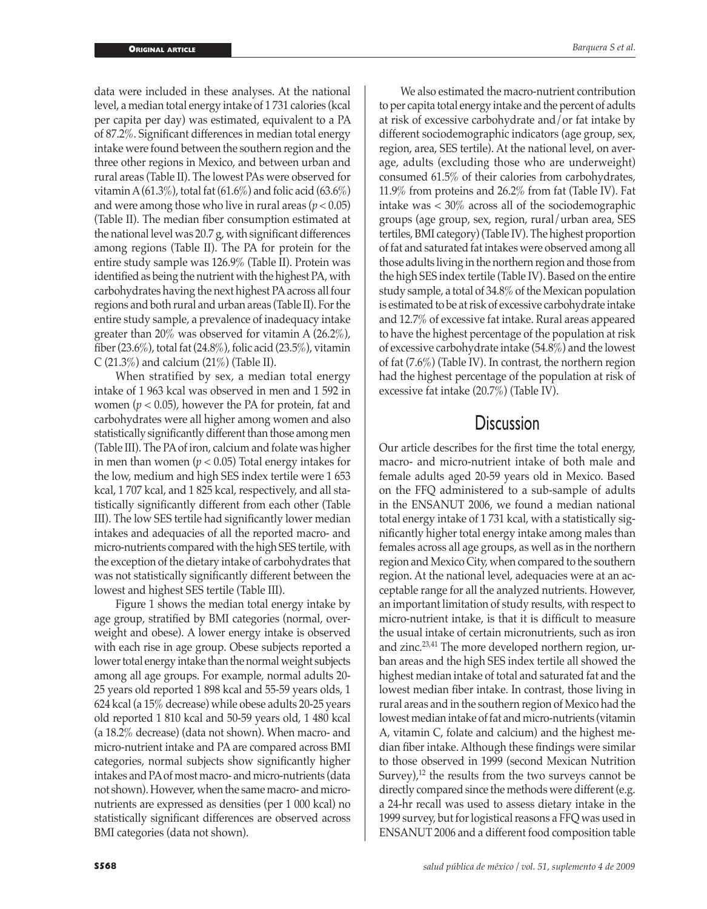data were included in these analyses. At the national level, a median total energy intake of 1 731 calories (kcal per capita per day) was estimated, equivalent to a PA of 87.2%. Significant differences in median total energy intake were found between the southern region and the three other regions in Mexico, and between urban and rural areas (Table II). The lowest PAs were observed for vitamin A  $(61.3\%)$ , total fat  $(61.6\%)$  and folic acid  $(63.6\%)$ and were among those who live in rural areas (*p* < 0.05) (Table II). The median fiber consumption estimated at the national level was 20.7 g, with significant differences among regions (Table II). The PA for protein for the entire study sample was 126.9% (Table II). Protein was identified as being the nutrient with the highest PA, with carbohydrates having the next highest PA across all four regions and both rural and urban areas (Table II). For the entire study sample, a prevalence of inadequacy intake greater than 20% was observed for vitamin A (26.2%), fiber (23.6%), total fat (24.8%), folic acid (23.5%), vitamin C (21.3%) and calcium (21%) (Table II).

When stratified by sex, a median total energy intake of 1 963 kcal was observed in men and 1 592 in women ( $p < 0.05$ ), however the PA for protein, fat and carbohydrates were all higher among women and also statistically significantly different than those among men (Table III). The PA of iron, calcium and folate was higher in men than women ( $p < 0.05$ ) Total energy intakes for the low, medium and high SES index tertile were 1 653 kcal, 1 707 kcal, and 1 825 kcal, respectively, and all statistically significantly different from each other (Table III). The low SES tertile had significantly lower median intakes and adequacies of all the reported macro- and micro-nutrients compared with the high SES tertile, with the exception of the dietary intake of carbohydrates that was not statistically significantly different between the lowest and highest SES tertile (Table III).

Figure 1 shows the median total energy intake by age group, stratified by BMI categories (normal, overweight and obese). A lower energy intake is observed with each rise in age group. Obese subjects reported a lower total energy intake than the normal weight subjects among all age groups. For example, normal adults 20- 25 years old reported 1 898 kcal and 55-59 years olds, 1 624 kcal (a 15% decrease) while obese adults 20-25 years old reported 1 810 kcal and 50-59 years old, 1 480 kcal (a 18.2% decrease) (data not shown). When macro- and micro-nutrient intake and PA are compared across BMI categories, normal subjects show significantly higher intakes and PA of most macro- and micro-nutrients (data not shown). However, when the same macro- and micronutrients are expressed as densities (per 1 000 kcal) no statistically significant differences are observed across BMI categories (data not shown).

We also estimated the macro-nutrient contribution to per capita total energy intake and the percent of adults at risk of excessive carbohydrate and/or fat intake by different sociodemographic indicators (age group, sex, region, area, SES tertile). At the national level, on average, adults (excluding those who are underweight) consumed 61.5% of their calories from carbohydrates, 11.9% from proteins and 26.2% from fat (Table IV). Fat intake was < 30% across all of the sociodemographic groups (age group, sex, region, rural/urban area, SES tertiles, BMI category) (Table IV). The highest proportion of fat and saturated fat intakes were observed among all those adults living in the northern region and those from the high SES index tertile (Table IV). Based on the entire study sample, a total of 34.8% of the Mexican population is estimated to be at risk of excessive carbohydrate intake and 12.7% of excessive fat intake. Rural areas appeared to have the highest percentage of the population at risk of excessive carbohydrate intake (54.8%) and the lowest of fat (7.6%) (Table IV). In contrast, the northern region had the highest percentage of the population at risk of excessive fat intake (20.7%) (Table IV).

# **Discussion**

Our article describes for the first time the total energy, macro- and micro-nutrient intake of both male and female adults aged 20-59 years old in Mexico. Based on the FFQ administered to a sub-sample of adults in the ENSANUT 2006, we found a median national total energy intake of 1 731 kcal, with a statistically significantly higher total energy intake among males than females across all age groups, as well as in the northern region and Mexico City, when compared to the southern region. At the national level, adequacies were at an acceptable range for all the analyzed nutrients. However, an important limitation of study results, with respect to micro-nutrient intake, is that it is difficult to measure the usual intake of certain micronutrients, such as iron and zinc.23,41 The more developed northern region, urban areas and the high SES index tertile all showed the highest median intake of total and saturated fat and the lowest median fiber intake. In contrast, those living in rural areas and in the southern region of Mexico had the lowest median intake of fat and micro-nutrients (vitamin A, vitamin C, folate and calcium) and the highest median fiber intake. Although these findings were similar to those observed in 1999 (second Mexican Nutrition Survey), $12$  the results from the two surveys cannot be directly compared since the methods were different (e.g. a 24-hr recall was used to assess dietary intake in the 1999 survey, but for logistical reasons a FFQ was used in ENSANUT 2006 and a different food composition table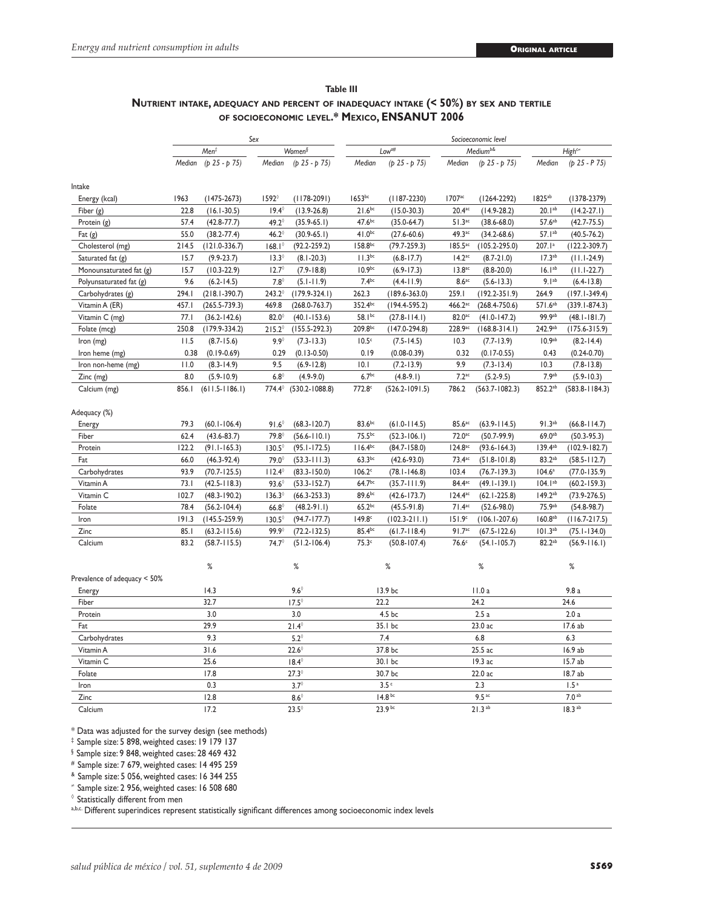## **Table III Nutrient intake, adequacy and percent of inadequacy intake (< 50%) by sex and tertile of socioeconomic level.\* Mexico, ENSANUT 2006**

|                              |        |                    | Sex                |                    |                    |                    |                       | Socioeconomic level      |                     |                    |
|------------------------------|--------|--------------------|--------------------|--------------------|--------------------|--------------------|-----------------------|--------------------------|---------------------|--------------------|
|                              |        | Men <sup>#</sup>   |                    | Women§             |                    | Low <sup>at#</sup> |                       | Medium <sup>b&amp;</sup> |                     | High <sup>c</sup>  |
|                              | Median | $(b 25 - b 75)$    | Median             | $(p 25 - p 75)$    | Median             | $(p 25 - p 75)$    | Median                | $(p 25 - p 75)$          | Median              | $(p 25 - P 75)$    |
| Intake                       |        |                    |                    |                    |                    |                    |                       |                          |                     |                    |
| Energy (kcal)                | 1963   | $(1475 - 2673)$    | $1592^{\circ}$     | $(1178-2091)$      | 1653 <sup>bc</sup> | $(1187 - 2230)$    | 1707 <sup>ac</sup>    | $(1264 - 2292)$          | 1825 <sup>ab</sup>  | $(1378 - 2379)$    |
| Fiber $(g)$                  | 22.8   | $(16.1 - 30.5)$    | $19.4^\circ$       | $(13.9 - 26.8)$    | $21.6^{bc}$        | $(15.0 - 30.3)$    | $20.4$ <sup>ac</sup>  | $(14.9 - 28.2)$          | $20.1^{ab}$         | $(14.2 - 27.1)$    |
| Protein (g)                  | 57.4   | $(42.8 - 77.7)$    | 49.2 $^{\circ}$    | $(35.9 - 65.1)$    | 47.6bc             | $(35.0 - 64.7)$    | 51.3ac                | $(38.6 - 68.0)$          | 57.6 <sup>ab</sup>  | $(42.7 - 75.5)$    |
| Fat $(g)$                    | 55.0   | $(38.2 - 77.4)$    | $46.2^\circ$       | $(30.9 - 65.1)$    | $41.0^{bc}$        | $(27.6 - 60.6)$    | 49.3 <sup>ac</sup>    | $(34.2 - 68.6)$          | 57. $1^{ab}$        | $(40.5 - 76.2)$    |
| Cholesterol (mg)             | 214.5  | $(121.0 - 336.7)$  | $168.1^\circ$      | $(92.2 - 259.2)$   | $158.8^{bc}$       | $(79.7 - 259.3)$   | $185.5$ <sup>ac</sup> | $(105.2 - 295.0)$        | 207.1 <sup>a</sup>  | $(122.2 - 309.7)$  |
| Saturated fat (g)            | 15.7   | $(9.9 - 23.7)$     | $13.3^\circ$       | $(8.1 - 20.3)$     | $11.3^{bc}$        | $(6.8 - 17.7)$     | $14.2$ <sup>ac</sup>  | $(8.7 - 21.0)$           | 17.3 <sup>ab</sup>  | $(11.1-24.9)$      |
| Monounsaturated fat (g)      | 15.7   | $(10.3 - 22.9)$    | $12.7^\circ$       | $(7.9 - 18.8)$     | 10.9 <sup>bc</sup> | $(6.9 - 17.3)$     | $13.8^{\circ}$        | $(8.8 - 20.0)$           | 16.1 <sup>ab</sup>  | $(11.1 - 22.7)$    |
| Polyunsaturated fat (g)      | 9.6    | $(6.2 - 14.5)$     | $7.8^\circ$        | $(5.1 - 11.9)$     | 7.4 <sup>bc</sup>  | $(4.4 - 11.9)$     | 8.6 <sup>ac</sup>     | $(5.6 - 13.3)$           | 9.1 <sup>ab</sup>   | $(6.4 - 13.8)$     |
| Carbohydrates (g)            | 294.I  | $(218.1 - 390.7)$  | $243.2^\circ$      | $(179.9 - 324.1)$  | 262.3              | $(189.6 - 363.0)$  | 259.1                 | $(192.2 - 351.9)$        | 264.9               | $(197.1 - 349.4)$  |
| Vitamin A (ER)               | 457.1  | $(265.5 - 739.3)$  | 469.8              | $(268.0 - 763.7)$  | 352.4bc            | $(194.4 - 595.2)$  | $466.2$ <sup>ac</sup> | $(268.4 - 750.6)$        | 571.6 <sup>ab</sup> | $(339.1 - 874.3)$  |
| Vitamin C (mg)               | 77.1   | $(36.2 - 142.6)$   | $82.0^\circ$       | $(40.1 - 153.6)$   | 58.1bc             | $(27.8 - 114.1)$   | 82.0 <sup>ac</sup>    | $(41.0-147.2)$           | 99.9ab              | $(48.1 - 181.7)$   |
| Folate (mcg)                 | 250.8  | $(179.9 - 334.2)$  | $215.2^{\circ}$    | $(155.5 - 292.3)$  | 209.8bc            | $(147.0 - 294.8)$  | 228.9 <sup>ac</sup>   | $(168.8 - 314.1)$        | 242.9ab             | $(175.6 - 315.9)$  |
| Iron (mg)                    | 11.5   | $(8.7 - 15.6)$     | $9.9^\circ$        | $(7.3 - 13.3)$     | 10.5 <sup>c</sup>  | $(7.5 - 14.5)$     | 10.3                  | $(7.7 - 13.9)$           | 10.9 <sup>ab</sup>  | $(8.2 - 14.4)$     |
| Iron heme (mg)               | 0.38   | $(0.19 - 0.69)$    | 0.29               | $(0.13 - 0.50)$    | 0.19               | $(0.08 - 0.39)$    | 0.32                  | $(0.17 - 0.55)$          | 0.43                | $(0.24 - 0.70)$    |
| Iron non-heme (mg)           | 11.0   | $(8.3 - 14.9)$     | 9.5                | $(6.9 - 12.8)$     | 0.1                | $(7.2 - 13.9)$     | 9.9                   | $(7.3 - 13.4)$           | 10.3                | $(7.8 - 13.8)$     |
| Zinc (mg)                    | 8.0    | $(5.9 - 10.9)$     | $6.8^\circ$        | $(4.9-9.0)$        | 6.7 <sup>bc</sup>  | $(4.8-9.1)$        | 7.2ac                 | $(5.2 - 9.5)$            | 7.9 <sup>ab</sup>   | $(5.9 - 10.3)$     |
| Calcium (mg)                 | 856.1  | $(611.5 - 1186.1)$ | 774.4 <sup>0</sup> | $(530.2 - 1088.8)$ | 772.8c             | $(526.2 - 1091.5)$ | 786.2                 | $(563.7 - 1082.3)$       | 852.2ab             | $(583.8 - 1184.3)$ |
| Adequacy (%)                 |        |                    |                    |                    |                    |                    |                       |                          |                     |                    |
| Energy                       | 79.3   | $(60.1 - 106.4)$   | $91.6^\circ$       | $(68.3 - 120.7)$   | $83.6^{bc}$        | $(61.0 - 114.5)$   | $85.6$ <sup>ac</sup>  | $(63.9 - 114.5)$         | $91.3^{ab}$         | $(66.8 - 114.7)$   |
| Fiber                        | 62.4   | $(43.6 - 83.7)$    | 79.8 <sup>0</sup>  | $(56.6 - 110.1)$   | 75.5bc             | $(52.3 - 106.1)$   | 72.0 <sup>ac</sup>    | $(50.7-99.9)$            | 69.0ab              | $(50.3 - 95.3)$    |
| Protein                      | 122.2  | $(91.1 - 165.3)$   | $130.5^{\circ}$    | $(95.1 - 172.5)$   | $116.4^{bc}$       | $(84.7 - 158.0)$   | 124.8 <sup>ac</sup>   | $(93.6 - 164.3)$         | $139.4^{ab}$        | $(102.9 - 182.7)$  |
| Fat                          | 66.0   | $(46.3 - 92.4)$    | 79.0 <sup>0</sup>  | $(53.3 - 111.3)$   | 63.3bc             | $(42.6 - 93.0)$    | 73.4 <sup>ac</sup>    | $(51.8-101.8)$           | $83.2^{ab}$         | $(58.5 - 112.7)$   |
| Carbohydrates                | 93.9   | $(70.7 - 125.5)$   | $112.4^\circ$      | $(83.3 - 150.0)$   | 106.2 <sup>c</sup> | $(78.1 - 146.8)$   | 103.4                 | $(76.7 - 139.3)$         | 104.6 <sup>a</sup>  | $(77.0 - 135.9)$   |
| Vitamin A                    | 73.1   | $(42.5 - 118.3)$   | $93.6^\circ$       | $(53.3 - 152.7)$   | 64.7bc             | $(35.7 - 111.9)$   | 84.4 <sup>ac</sup>    | $(49.1 - 139.1)$         | $104.1^{ab}$        | $(60.2 - 159.3)$   |
| Vitamin C                    | 102.7  | $(48.3 - 190.2)$   | $136.3^{\circ}$    | $(66.3 - 253.3)$   | $89.6^{bc}$        | $(42.6 - 173.7)$   | $124.4$ <sup>ac</sup> | $(62.1 - 225.8)$         | $149.2^{ab}$        | $(73.9 - 276.5)$   |
| Folate                       | 78.4   | $(56.2 - 104.4)$   | $66.8^\circ$       | $(48.2 - 91.1)$    | $65.2^{bc}$        | $(45.5 - 91.8)$    | $71.4$ <sup>ac</sup>  | $(52.6 - 98.0)$          | 75.9ab              | $(54.8 - 98.7)$    |
| Iron                         | 191.3  | $(145.5 - 259.9)$  | $130.5^{\circ}$    | $(94.7 - 177.7)$   | 149.8 <sup>c</sup> | $(102.3 - 211.1)$  | 151.9 <sup>c</sup>    | $(106.1 - 207.6)$        | 160.8 <sup>ab</sup> | $(116.7 - 217.5)$  |
| Zinc                         | 85.1   | $(63.2 - 115.6)$   | 99.9               | $(72.2 - 132.5)$   | $85.4^{bc}$        | $(61.7 - 118.4)$   | $91.7^{ac}$           | $(67.5 - 122.6)$         | $101.3^{ab}$        | $(75.1 - 134.0)$   |
| Calcium                      | 83.2   | $(58.7 - 115.5)$   | 74.7 <sup>0</sup>  | $(51.2 - 106.4)$   | 75.3c              | $(50.8 - 107.4)$   | 76.6 <sup>c</sup>     | $(54.1 - 105.7)$         | $82.2^{ab}$         | $(56.9 - 116.1)$   |
|                              |        | $\%$               |                    | $\%$               |                    | $\%$               |                       | $\%$                     |                     | $\%$               |
| Prevalence of adequacy < 50% |        |                    |                    |                    |                    |                    |                       |                          |                     |                    |
| Energy                       |        | 14.3               |                    | $9.6^\circ$        |                    | 13.9 bc            |                       | 11.0a                    |                     | 9.8a               |
| Fiber                        |        | 32.7               |                    | $17.5^{\circ}$     |                    | 22.2               |                       | 24.2                     |                     | 24.6               |
| Protein                      |        | 3.0                |                    | 3.0                |                    | 4.5 bc             |                       | 2.5a                     |                     | 2.0a               |
| Fat                          |        | 29.9               |                    | $21.4^{\circ}$     |                    | 35.1 bc            |                       | 23.0 ac                  |                     | 17.6 ab            |
| Carbohydrates                |        | 9.3                |                    | $5.2^{\circ}$      |                    | 7.4                |                       | 6.8                      |                     | 6.3                |
| Vitamin A                    |        | 31.6               |                    | $22.6^\circ$       |                    | 37.8 bc            |                       | 25.5 ac                  |                     | 16.9 ab            |
| Vitamin C                    |        | 25.6               |                    | $18.4^\circ$       |                    | 30.1 bc            |                       | 19.3 ac                  |                     | 15.7 ab            |
| Folate                       |        | 17.8               |                    | $27.3^{\circ}$     |                    | 30.7 bc            |                       | 22.0 ac                  |                     | 18.7 ab            |
| Iron                         |        | 0.3                |                    | $3.7^\circ$        |                    | 3.5 <sup>c</sup>   |                       | 2.3                      |                     | 1.5 <sup>a</sup>   |
| Zinc                         |        | 12.8               |                    | $8.6^\circ$        |                    | 14.8 <sup>bc</sup> |                       | $9.5$ ac                 |                     | 7.0 <sup>ab</sup>  |
| Calcium                      |        | 17.2               |                    | $23.5^\circ$       |                    | 23.9 bc            |                       | $21.3^{ab}$              |                     | 18.3 ab            |

\* Data was adjusted for the survey design (see methods)

‡ Sample size: 5 898, weighted cases: 19 179 137

§ Sample size: 9 848, weighted cases: 28 469 432

# Sample size: 7 679, weighted cases: 14 495 259

& Sample size: 5 056, weighted cases: 16 344 255

<sup>≠</sup> Sample size: 2 956, weighted cases: 16 508 680

◊ Statistically different from men

a,b,c. Different superindices represent statistically significant differences among socioeconomic index levels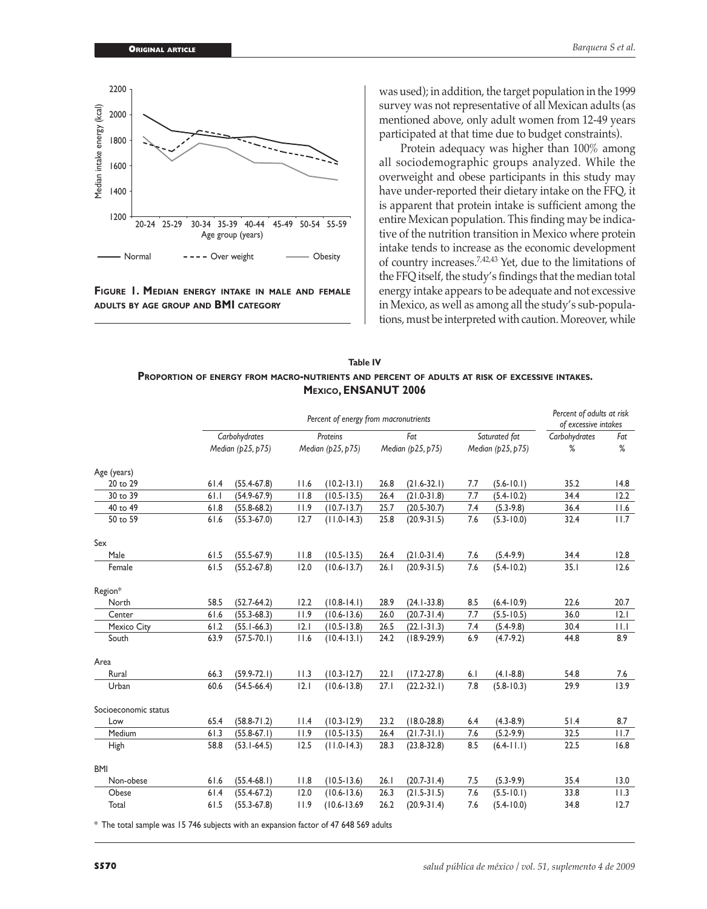



was used); in addition, the target population in the 1999 survey was not representative of all Mexican adults (as mentioned above, only adult women from 12-49 years participated at that time due to budget constraints).

Protein adequacy was higher than 100% among all sociodemographic groups analyzed. While the overweight and obese participants in this study may have under-reported their dietary intake on the FFQ, it is apparent that protein intake is sufficient among the entire Mexican population. This finding may be indicative of the nutrition transition in Mexico where protein intake tends to increase as the economic development of country increases.7,42,43 Yet, due to the limitations of the FFQ itself, the study's findings that the median total energy intake appears to be adequate and not excessive in Mexico, as well as among all the study's sub-populations, must be interpreted with caution. Moreover, while

| Table IV                                                                                             |  |
|------------------------------------------------------------------------------------------------------|--|
| <b>PROPORTION OF ENERGY FROM MACRO-NUTRIENTS AND PERCENT OF ADULTS AT RISK OF EXCESSIVE INTAKES.</b> |  |
| <b>MEXICO, ENSANUT 2006</b>                                                                          |  |

|                      |      |                   |      | Percent of energy from macronutrients |      |                   |     |                   | Percent of adults at risk<br>of excessive intakes |             |
|----------------------|------|-------------------|------|---------------------------------------|------|-------------------|-----|-------------------|---------------------------------------------------|-------------|
|                      |      | Carbohydrates     |      | Proteins                              |      | Fat               |     | Saturated fat     | Carbohydrates                                     | Fat         |
|                      |      | Median (p25, p75) |      | Median (p25, p75)                     |      | Median (p25, p75) |     | Median (p25, p75) | %                                                 | %           |
| Age (years)          |      |                   |      |                                       |      |                   |     |                   |                                                   |             |
| 20 to 29             | 61.4 | $(55.4-67.8)$     | 11.6 | $(10.2 - 13.1)$                       | 26.8 | $(21.6-32.1)$     | 7.7 | $(5.6 - 10.1)$    | 35.2                                              | 14.8        |
| 30 to 39             | 61.1 | $(54.9 - 67.9)$   | 11.8 | $(10.5 - 13.5)$                       | 26.4 | $(21.0 - 31.8)$   | 7.7 | $(5.4 - 10.2)$    | 34.4                                              | 12.2        |
| 40 to 49             | 61.8 | $(55.8 - 68.2)$   | 11.9 | $(10.7 - 13.7)$                       | 25.7 | $(20.5 - 30.7)$   | 7.4 | $(5.3-9.8)$       | 36.4                                              | 11.6        |
| 50 to 59             | 61.6 | $(55.3 - 67.0)$   | 12.7 | $(11.0-14.3)$                         | 25.8 | $(20.9 - 31.5)$   | 7.6 | $(5.3 - 10.0)$    | 32.4                                              | 11.7        |
| Sex                  |      |                   |      |                                       |      |                   |     |                   |                                                   |             |
| Male                 | 61.5 | $(55.5 - 67.9)$   | 11.8 | $(10.5 - 13.5)$                       | 26.4 | $(21.0-31.4)$     | 7.6 | $(5.4-9.9)$       | 34.4                                              | 12.8        |
| Female               | 61.5 | $(55.2 - 67.8)$   | 12.0 | $(10.6 - 13.7)$                       | 26.1 | $(20.9 - 31.5)$   | 7.6 | $(5.4 - 10.2)$    | 35.1                                              | 12.6        |
| Region*              |      |                   |      |                                       |      |                   |     |                   |                                                   |             |
| North                | 58.5 | $(52.7-64.2)$     | 12.2 | $(10.8 - 14.1)$                       | 28.9 | $(24.1 - 33.8)$   | 8.5 | $(6.4 - 10.9)$    | 22.6                                              | 20.7        |
| Center               | 61.6 | $(55.3 - 68.3)$   | 11.9 | $(10.6 - 13.6)$                       | 26.0 | $(20.7 - 31.4)$   | 7.7 | $(5.5 - 10.5)$    | 36.0                                              | 2.1         |
| Mexico City          | 61.2 | $(55.1 - 66.3)$   | 2.1  | $(10.5 - 13.8)$                       | 26.5 | $(22.1 - 31.3)$   | 7.4 | $(5.4-9.8)$       | 30.4                                              | $  \cdot  $ |
| South                | 63.9 | $(57.5 - 70.1)$   | 11.6 | $(10.4 - 13.1)$                       | 24.2 | $(18.9 - 29.9)$   | 6.9 | $(4.7-9.2)$       | 44.8                                              | 8.9         |
| Area                 |      |                   |      |                                       |      |                   |     |                   |                                                   |             |
| Rural                | 66.3 | $(59.9 - 72.1)$   | 11.3 | $(10.3 - 12.7)$                       | 22.1 | $(17.2 - 27.8)$   | 6.1 | $(4.1 - 8.8)$     | 54.8                                              | 7.6         |
| Urban                | 60.6 | $(54.5 - 66.4)$   | 2.1  | $(10.6 - 13.8)$                       | 27.1 | $(22.2 - 32.1)$   | 7.8 | $(5.8 - 10.3)$    | 29.9                                              | 13.9        |
| Socioeconomic status |      |                   |      |                                       |      |                   |     |                   |                                                   |             |
| Low                  | 65.4 | $(58.8 - 71.2)$   | 11.4 | $(10.3 - 12.9)$                       | 23.2 | $(18.0 - 28.8)$   | 6.4 | $(4.3 - 8.9)$     | 51.4                                              | 8.7         |
| Medium               | 61.3 | $(55.8 - 67.1)$   | 11.9 | $(10.5 - 13.5)$                       | 26.4 | $(21.7-31.1)$     | 7.6 | $(5.2-9.9)$       | 32.5                                              | 11.7        |
| High                 | 58.8 | $(53.1 - 64.5)$   | 12.5 | $(11.0-14.3)$                         | 28.3 | $(23.8 - 32.8)$   | 8.5 | $(6.4 - 11.1)$    | 22.5                                              | 16.8        |
| <b>BMI</b>           |      |                   |      |                                       |      |                   |     |                   |                                                   |             |
| Non-obese            | 61.6 | $(55.4-68.1)$     | 11.8 | $(10.5 - 13.6)$                       | 26.1 | $(20.7 - 31.4)$   | 7.5 | $(5.3-9.9)$       | 35.4                                              | 13.0        |
| Obese                | 61.4 | $(55.4 - 67.2)$   | 12.0 | $(10.6 - 13.6)$                       | 26.3 | $(21.5-31.5)$     | 7.6 | $(5.5 - 10.1)$    | 33.8                                              | 11.3        |
| Total                | 61.5 | $(55.3 - 67.8)$   | 11.9 | $(10.6 - 13.69)$                      | 26.2 | $(20.9 - 31.4)$   | 7.6 | $(5.4 - 10.0)$    | 34.8                                              | 12.7        |

\* The total sample was 15 746 subjects with an expansion factor of 47 648 569 adults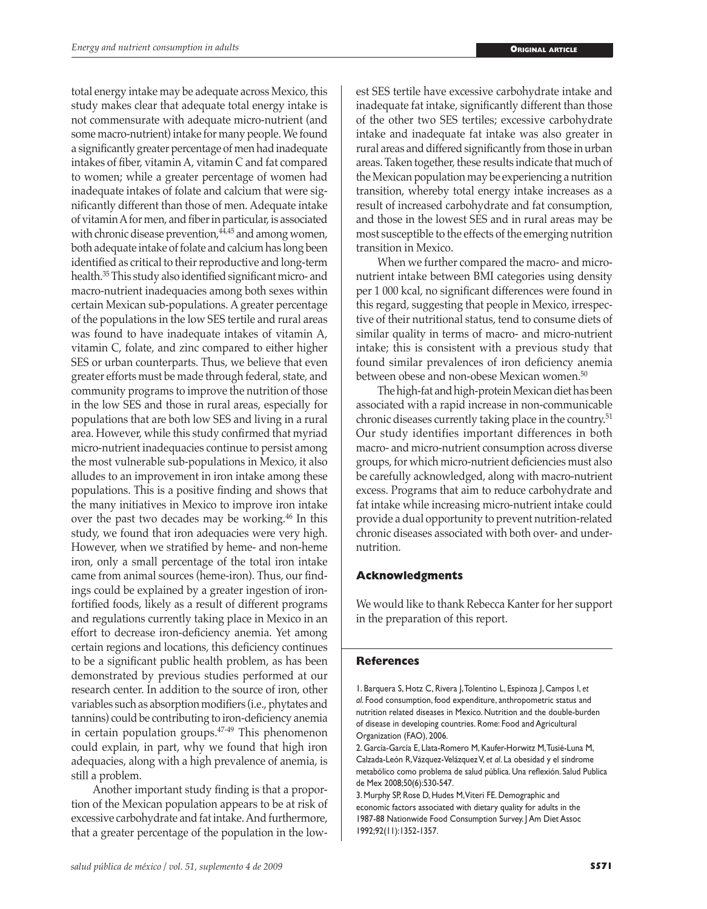total energy intake may be adequate across Mexico, this study makes clear that adequate total energy intake is not commensurate with adequate micro-nutrient (and some macro-nutrient) intake for many people. We found a significantly greater percentage of men had inadequate intakes of fiber, vitamin A, vitamin C and fat compared to women; while a greater percentage of women had inadequate intakes of folate and calcium that were significantly different than those of men. Adequate intake of vitamin A for men, and fiber in particular, is associated with chronic disease prevention,  $4\overline{4}$ ,  $45$  and among women, both adequate intake of folate and calcium has long been identified as critical to their reproductive and long-term health.35 This study also identified significant micro- and macro-nutrient inadequacies among both sexes within certain Mexican sub-populations. A greater percentage of the populations in the low SES tertile and rural areas was found to have inadequate intakes of vitamin A, vitamin C, folate, and zinc compared to either higher SES or urban counterparts. Thus, we believe that even greater efforts must be made through federal, state, and community programs to improve the nutrition of those in the low SES and those in rural areas, especially for populations that are both low SES and living in a rural area. However, while this study confirmed that myriad micro-nutrient inadequacies continue to persist among the most vulnerable sub-populations in Mexico, it also alludes to an improvement in iron intake among these populations. This is a positive finding and shows that the many initiatives in Mexico to improve iron intake over the past two decades may be working.46 In this study, we found that iron adequacies were very high. However, when we stratified by heme- and non-heme iron, only a small percentage of the total iron intake came from animal sources (heme-iron). Thus, our findings could be explained by a greater ingestion of ironfortified foods, likely as a result of different programs and regulations currently taking place in Mexico in an effort to decrease iron-deficiency anemia. Yet among certain regions and locations, this deficiency continues to be a significant public health problem, as has been demonstrated by previous studies performed at our research center. In addition to the source of iron, other variables such as absorption modifiers (i.e., phytates and tannins) could be contributing to iron-deficiency anemia in certain population groups.47-49 This phenomenon could explain, in part, why we found that high iron adequacies, along with a high prevalence of anemia, is still a problem.

Another important study finding is that a proportion of the Mexican population appears to be at risk of excessive carbohydrate and fat intake. And furthermore, that a greater percentage of the population in the lowest SES tertile have excessive carbohydrate intake and inadequate fat intake, significantly different than those of the other two SES tertiles; excessive carbohydrate intake and inadequate fat intake was also greater in rural areas and differed significantly from those in urban areas. Taken together, these results indicate that much of the Mexican population may be experiencing a nutrition transition, whereby total energy intake increases as a result of increased carbohydrate and fat consumption, and those in the lowest SES and in rural areas may be most susceptible to the effects of the emerging nutrition transition in Mexico.

When we further compared the macro- and micronutrient intake between BMI categories using density per 1 000 kcal, no significant differences were found in this regard, suggesting that people in Mexico, irrespective of their nutritional status, tend to consume diets of similar quality in terms of macro- and micro-nutrient intake; this is consistent with a previous study that found similar prevalences of iron deficiency anemia between obese and non-obese Mexican women.<sup>50</sup>

The high-fat and high-protein Mexican diet has been associated with a rapid increase in non-communicable chronic diseases currently taking place in the country.<sup>51</sup> Our study identifies important differences in both macro- and micro-nutrient consumption across diverse groups, for which micro-nutrient deficiencies must also be carefully acknowledged, along with macro-nutrient excess. Programs that aim to reduce carbohydrate and fat intake while increasing micro-nutrient intake could provide a dual opportunity to prevent nutrition-related chronic diseases associated with both over- and undernutrition.

#### **Acknowledgments**

We would like to thank Rebecca Kanter for her support in the preparation of this report.

#### **References**

<sup>1.</sup> Barquera S, Hotz C, Rivera J, Tolentino L, Espinoza J, Campos I, *et al*. Food consumption, food expenditure, anthropometric status and nutrition related diseases in Mexico. Nutrition and the double-burden of disease in developing countries. Rome: Food and Agricultural Organization (FAO), 2006.

<sup>2.</sup> García-García E, Llata-Romero M, Kaufer-Horwitz M, Tusié-Luna M, Calzada-León R, Vázquez-Velázquez V, *et al*. La obesidad y el síndrome metabólico como problema de salud pública. Una reflexión. Salud Publica de Mex 2008;50(6):530-547.

<sup>3.</sup> Murphy SP, Rose D, Hudes M, Viteri FE. Demographic and economic factors associated with dietary quality for adults in the 1987-88 Nationwide Food Consumption Survey. J Am Diet Assoc 1992;92(11):1352-1357.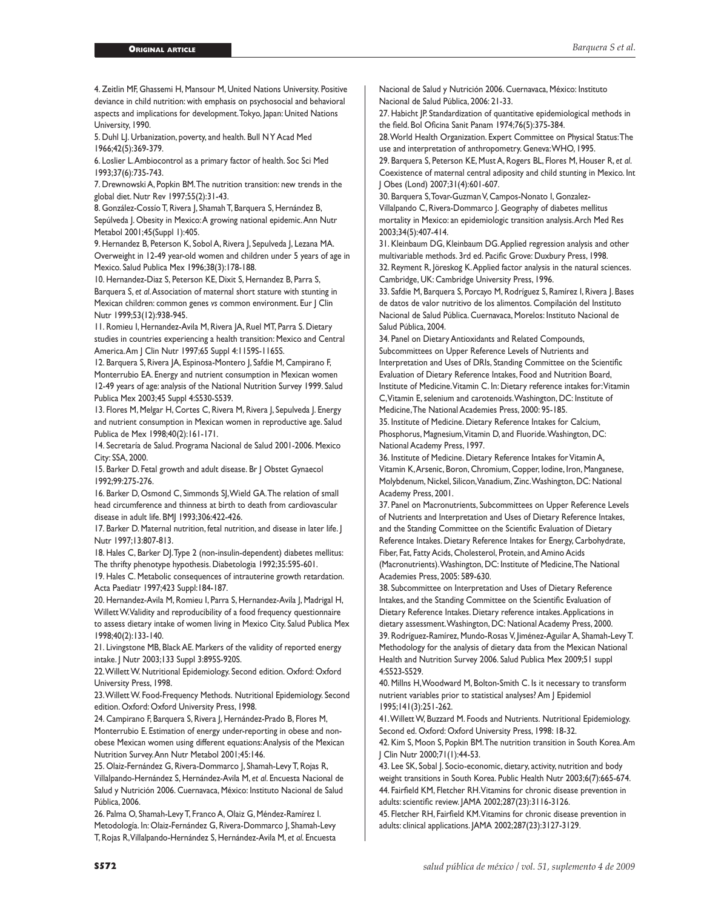4. Zeitlin MF, Ghassemi H, Mansour M, United Nations University. Positive deviance in child nutrition: with emphasis on psychosocial and behavioral aspects and implications for development. Tokyo, Japan: United Nations University, 1990.

5. Duhl LJ. Urbanization, poverty, and health. Bull N Y Acad Med 1966;42(5):369-379.

6. Loslier L. Ambiocontrol as a primary factor of health. Soc Sci Med 1993;37(6):735-743.

7. Drewnowski A, Popkin BM. The nutrition transition: new trends in the global diet. Nutr Rev 1997;55(2):31-43.

8. González-Cossío T, Rivera J, Shamah T, Barquera S, Hernández B, Sepúlveda J. Obesity in Mexico: A growing national epidemic. Ann Nutr Metabol 2001;45(Suppl 1):405.

9. Hernandez B, Peterson K, Sobol A, Rivera J, Sepulveda J, Lezana MA. Overweight in 12-49 year-old women and children under 5 years of age in Mexico. Salud Publica Mex 1996;38(3):178-188.

10. Hernandez-Diaz S, Peterson KE, Dixit S, Hernandez B, Parra S, Barquera S, *et al*. Association of maternal short stature with stunting in Mexican children: common genes *vs* common environment. Eur J Clin Nutr 1999;53(12):938-945.

11. Romieu I, Hernandez-Avila M, Rivera JA, Ruel MT, Parra S. Dietary studies in countries experiencing a health transition: Mexico and Central America. Am J Clin Nutr 1997;65 Suppl 4:1159S-1165S.

12. Barquera S, Rivera JA, Espinosa-Montero J, Safdie M, Campirano F, Monterrubio EA. Energy and nutrient consumption in Mexican women 12-49 years of age: analysis of the National Nutrition Survey 1999. Salud Publica Mex 2003;45 Suppl 4:S530-S539.

13. Flores M, Melgar H, Cortes C, Rivera M, Rivera J, Sepulveda J. Energy and nutrient consumption in Mexican women in reproductive age. Salud Publica de Mex 1998;40(2):161-171.

14. Secretaría de Salud. Programa Nacional de Salud 2001-2006. Mexico City: SSA, 2000.

15. Barker D. Fetal growth and adult disease. Br J Obstet Gynaecol 1992;99:275-276.

16. Barker D, Osmond C, Simmonds SJ, Wield GA. The relation of small head circumference and thinness at birth to death from cardiovascular disease in adult life. BMJ 1993;306:422-426.

17. Barker D. Maternal nutrition, fetal nutrition, and disease in later life. J Nutr 1997;13:807-813.

18. Hales C, Barker DJ. Type 2 (non-insulin-dependent) diabetes mellitus: The thrifty phenotype hypothesis. Diabetologia 1992;35:595-601.

19. Hales C. Metabolic consequences of intrauterine growth retardation. Acta Paediatr 1997;423 Suppl:184-187.

20. Hernandez-Avila M, Romieu I, Parra S, Hernandez-Avila J, Madrigal H, Willett W. Validity and reproducibility of a food frequency questionnaire to assess dietary intake of women living in Mexico City. Salud Publica Mex 1998;40(2):133-140.

21. Livingstone MB, Black AE. Markers of the validity of reported energy intake. J Nutr 2003;133 Suppl 3:895S-920S.

22. Willett W. Nutritional Epidemiology. Second edition. Oxford: Oxford University Press, 1998.

23. Willett W. Food-Frequency Methods. Nutritional Epidemiology. Second edition. Oxford: Oxford University Press, 1998.

24. Campirano F, Barquera S, Rivera J, Hernández-Prado B, Flores M, Monterrubio E. Estimation of energy under-reporting in obese and nonobese Mexican women using different equations: Analysis of the Mexican Nutrition Survey. Ann Nutr Metabol 2001;45:146.

25. Olaiz-Fernández G, Rivera-Dommarco J, Shamah-Levy T, Rojas R, Villalpando-Hernández S, Hernández-Avila M, *et al*. Encuesta Nacional de Salud y Nutrición 2006. Cuernavaca, México: Instituto Nacional de Salud Pública, 2006.

26. Palma O, Shamah-Levy T, Franco A, Olaiz G, Méndez-Ramírez I. Metodología. In: Olaiz-Fernández G, Rivera-Dommarco J, Shamah-Levy T, Rojas R, Villalpando-Hernández S, Hernández-Avila M, *et al*. Encuesta

Nacional de Salud y Nutrición 2006. Cuernavaca, México: Instituto Nacional de Salud Pública, 2006: 21-33.

27. Habicht JP. Standardization of quantitative epidemiological methods in the field. Bol Oficina Sanit Panam 1974;76(5):375-384.

28. World Health Organization. Expert Committee on Physical Status: The use and interpretation of anthropometry. Geneva: WHO, 1995.

29. Barquera S, Peterson KE, Must A, Rogers BL, Flores M, Houser R, *et al*. Coexistence of maternal central adiposity and child stunting in Mexico. Int J Obes (Lond) 2007;31(4):601-607.

30. Barquera S, Tovar-Guzman V, Campos-Nonato I, Gonzalez-Villalpando C, Rivera-Dommarco J. Geography of diabetes mellitus mortality in Mexico: an epidemiologic transition analysis. Arch Med Res 2003;34(5):407-414.

31. Kleinbaum DG, Kleinbaum DG. Applied regression analysis and other multivariable methods. 3rd ed. Pacific Grove: Duxbury Press, 1998. 32. Reyment R, Jöreskog K. Applied factor analysis in the natural sciences. Cambridge, UK: Cambridge University Press, 1996.

33. Safdie M, Barquera S, Porcayo M, Rodríguez S, Ramírez I, Rivera J. Bases de datos de valor nutritivo de los alimentos. Compilación del Instituto Nacional de Salud Pública. Cuernavaca, Morelos: Instituto Nacional de Salud Pública, 2004.

34. Panel on Dietary Antioxidants and Related Compounds, Subcommittees on Upper Reference Levels of Nutrients and Interpretation and Uses of DRIs, Standing Committee on the Scientific Evaluation of Dietary Reference Intakes, Food and Nutrition Board, Institute of Medicine. Vitamin C. In: Dietary reference intakes for: Vitamin C, Vitamin E, selenium and carotenoids. Washington, DC: Institute of Medicine, The National Academies Press, 2000: 95-185.

35. Institute of Medicine. Dietary Reference Intakes for Calcium, Phosphorus, Magnesium, Vitamin D, and Fluoride. Washington, DC: National Academy Press, 1997.

36. Institute of Medicine. Dietary Reference Intakes for Vitamin A, Vitamin K, Arsenic, Boron, Chromium, Copper, Iodine, Iron, Manganese, Molybdenum, Nickel, Silicon, Vanadium, Zinc. Washington, DC: National Academy Press, 2001.

37. Panel on Macronutrients, Subcommittees on Upper Reference Levels of Nutrients and Interpretation and Uses of Dietary Reference Intakes, and the Standing Committee on the Scientific Evaluation of Dietary Reference Intakes. Dietary Reference Intakes for Energy, Carbohydrate, Fiber, Fat, Fatty Acids, Cholesterol, Protein, and Amino Acids (Macronutrients). Washington, DC: Institute of Medicine, The National Academies Press, 2005: 589-630.

38. Subcommittee on Interpretation and Uses of Dietary Reference Intakes, and the Standing Committee on the Scientific Evaluation of Dietary Reference Intakes. Dietary reference intakes. Applications in dietary assessment. Washington, DC: National Academy Press, 2000. 39. Rodríguez-Ramírez, Mundo-Rosas V, Jiménez-Aguilar A, Shamah-Levy T. Methodology for the analysis of dietary data from the Mexican National Health and Nutrition Survey 2006. Salud Publica Mex 2009;51 suppl 4:S523-S529.

40. Millns H, Woodward M, Bolton-Smith C. Is it necessary to transform nutrient variables prior to statistical analyses? Am J Epidemiol 1995;141(3):251-262.

41. Willett W, Buzzard M. Foods and Nutrients. Nutritional Epidemiology. Second ed. Oxford: Oxford University Press, 1998: 18-32.

42. Kim S, Moon S, Popkin BM. The nutrition transition in South Korea. Am J Clin Nutr 2000;71(1):44-53.

43. Lee SK, Sobal J. Socio-economic, dietary, activity, nutrition and body weight transitions in South Korea. Public Health Nutr 2003;6(7):665-674. 44. Fairfield KM, Fletcher RH. Vitamins for chronic disease prevention in adults: scientific review. JAMA 2002;287(23):3116-3126.

45. Fletcher RH, Fairfield KM. Vitamins for chronic disease prevention in adults: clinical applications. JAMA 2002;287(23):3127-3129.